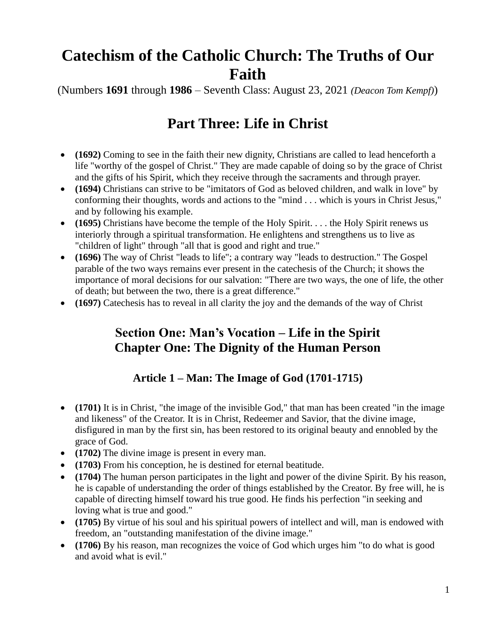# **Catechism of the Catholic Church: The Truths of Our Faith**

(Numbers **1691** through **1986** – Seventh Class: August 23, 2021 *(Deacon Tom Kempf)*)

# **Part Three: Life in Christ**

- **(1692)** Coming to see in the faith their new dignity, Christians are called to lead henceforth a life "worthy of the gospel of Christ." They are made capable of doing so by the grace of Christ and the gifts of his Spirit, which they receive through the sacraments and through prayer.
- **(1694)** Christians can strive to be "imitators of God as beloved children, and walk in love" by conforming their thoughts, words and actions to the "mind . . . which is yours in Christ Jesus," and by following his example.
- **(1695)** Christians have become the temple of the Holy Spirit. . . . the Holy Spirit renews us interiorly through a spiritual transformation. He enlightens and strengthens us to live as "children of light" through "all that is good and right and true."
- **(1696)** The way of Christ "leads to life"; a contrary way "leads to destruction." The Gospel parable of the two ways remains ever present in the catechesis of the Church; it shows the importance of moral decisions for our salvation: "There are two ways, the one of life, the other of death; but between the two, there is a great difference."
- **(1697)** Catechesis has to reveal in all clarity the joy and the demands of the way of Christ

## **Section One: Man's Vocation – Life in the Spirit Chapter One: The Dignity of the Human Person**

## **Article 1 – Man: The Image of God (1701-1715)**

- **(1701)** It is in Christ, "the image of the invisible God," that man has been created "in the image and likeness" of the Creator. It is in Christ, Redeemer and Savior, that the divine image, disfigured in man by the first sin, has been restored to its original beauty and ennobled by the grace of God.
- **(1702)** The divine image is present in every man.
- **(1703)** From his conception, he is destined for eternal beatitude.
- **(1704)** The human person participates in the light and power of the divine Spirit. By his reason, he is capable of understanding the order of things established by the Creator. By free will, he is capable of directing himself toward his true good. He finds his perfection "in seeking and loving what is true and good."
- **(1705)** By virtue of his soul and his spiritual powers of intellect and will, man is endowed with freedom, an "outstanding manifestation of the divine image."
- **(1706)** By his reason, man recognizes the voice of God which urges him "to do what is good and avoid what is evil."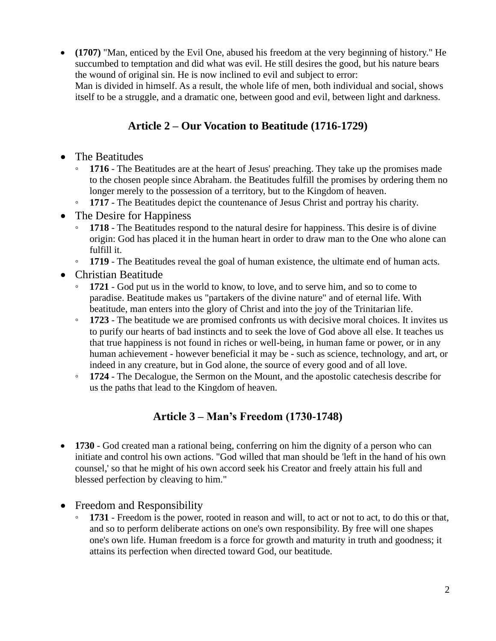• **(1707)** "Man, enticed by the Evil One, abused his freedom at the very beginning of history." He succumbed to temptation and did what was evil. He still desires the good, but his nature bears the wound of original sin. He is now inclined to evil and subject to error:

Man is divided in himself. As a result, the whole life of men, both individual and social, shows itself to be a struggle, and a dramatic one, between good and evil, between light and darkness.

### **Article 2 – Our Vocation to Beatitude (1716-1729)**

- The Beatitudes
	- **1716** The Beatitudes are at the heart of Jesus' preaching. They take up the promises made to the chosen people since Abraham. the Beatitudes fulfill the promises by ordering them no longer merely to the possession of a territory, but to the Kingdom of heaven.
	- **1717** The Beatitudes depict the countenance of Jesus Christ and portray his charity.
- The Desire for Happiness
	- **1718** The Beatitudes respond to the natural desire for happiness. This desire is of divine origin: God has placed it in the human heart in order to draw man to the One who alone can fulfill it.
	- **1719** The Beatitudes reveal the goal of human existence, the ultimate end of human acts.
- Christian Beatitude
	- **1721** God put us in the world to know, to love, and to serve him, and so to come to paradise. Beatitude makes us "partakers of the divine nature" and of eternal life. With beatitude, man enters into the glory of Christ and into the joy of the Trinitarian life.
	- **1723** The beatitude we are promised confronts us with decisive moral choices. It invites us to purify our hearts of bad instincts and to seek the love of God above all else. It teaches us that true happiness is not found in riches or well-being, in human fame or power, or in any human achievement - however beneficial it may be - such as science, technology, and art, or indeed in any creature, but in God alone, the source of every good and of all love.
	- **1724** The Decalogue, the Sermon on the Mount, and the apostolic catechesis describe for us the paths that lead to the Kingdom of heaven.

#### **Article 3 – Man's Freedom (1730-1748)**

- **1730** God created man a rational being, conferring on him the dignity of a person who can initiate and control his own actions. "God willed that man should be 'left in the hand of his own counsel,' so that he might of his own accord seek his Creator and freely attain his full and blessed perfection by cleaving to him."
- Freedom and Responsibility
	- **1731** Freedom is the power, rooted in reason and will, to act or not to act, to do this or that, and so to perform deliberate actions on one's own responsibility. By free will one shapes one's own life. Human freedom is a force for growth and maturity in truth and goodness; it attains its perfection when directed toward God, our beatitude.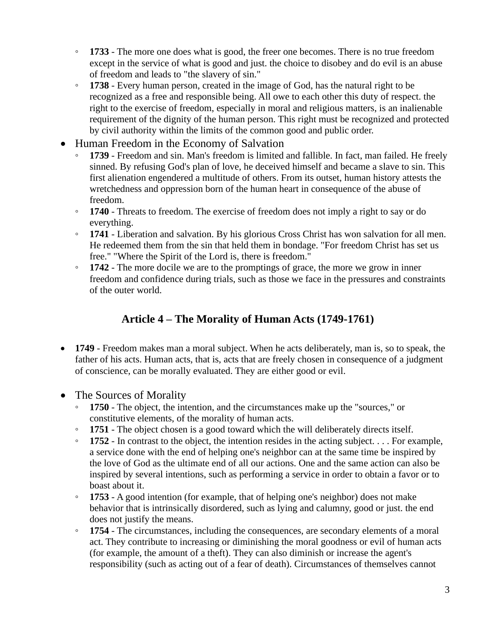- **1733** The more one does what is good, the freer one becomes. There is no true freedom except in the service of what is good and just. the choice to disobey and do evil is an abuse of freedom and leads to "the slavery of sin."
- **1738** Every human person, created in the image of God, has the natural right to be recognized as a free and responsible being. All owe to each other this duty of respect. the right to the exercise of freedom, especially in moral and religious matters, is an inalienable requirement of the dignity of the human person. This right must be recognized and protected by civil authority within the limits of the common good and public order.
- Human Freedom in the Economy of Salvation
	- **1739** Freedom and sin. Man's freedom is limited and fallible. In fact, man failed. He freely sinned. By refusing God's plan of love, he deceived himself and became a slave to sin. This first alienation engendered a multitude of others. From its outset, human history attests the wretchedness and oppression born of the human heart in consequence of the abuse of freedom.
	- **1740** Threats to freedom. The exercise of freedom does not imply a right to say or do everything.
	- **1741** Liberation and salvation. By his glorious Cross Christ has won salvation for all men. He redeemed them from the sin that held them in bondage. "For freedom Christ has set us free." "Where the Spirit of the Lord is, there is freedom."
	- **1742** The more docile we are to the promptings of grace, the more we grow in inner freedom and confidence during trials, such as those we face in the pressures and constraints of the outer world.

#### **Article 4 – The Morality of Human Acts (1749-1761)**

- **1749** Freedom makes man a moral subject. When he acts deliberately, man is, so to speak, the father of his acts. Human acts, that is, acts that are freely chosen in consequence of a judgment of conscience, can be morally evaluated. They are either good or evil.
- The Sources of Morality
	- **1750** The object, the intention, and the circumstances make up the "sources," or constitutive elements, of the morality of human acts.
	- **1751**  The object chosen is a good toward which the will deliberately directs itself.
	- **1752** In contrast to the object, the intention resides in the acting subject. . . . For example, a service done with the end of helping one's neighbor can at the same time be inspired by the love of God as the ultimate end of all our actions. One and the same action can also be inspired by several intentions, such as performing a service in order to obtain a favor or to boast about it.
	- **1753** A good intention (for example, that of helping one's neighbor) does not make behavior that is intrinsically disordered, such as lying and calumny, good or just. the end does not justify the means.
	- **1754** The circumstances, including the consequences, are secondary elements of a moral act. They contribute to increasing or diminishing the moral goodness or evil of human acts (for example, the amount of a theft). They can also diminish or increase the agent's responsibility (such as acting out of a fear of death). Circumstances of themselves cannot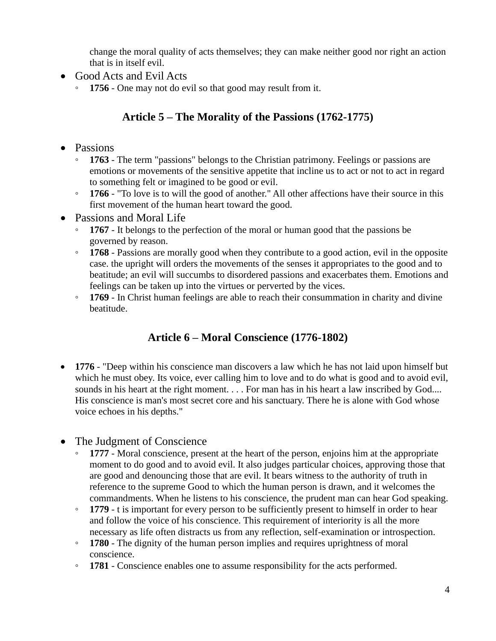change the moral quality of acts themselves; they can make neither good nor right an action that is in itself evil.

- Good Acts and Evil Acts
	- **1756** One may not do evil so that good may result from it.

## **Article 5 – The Morality of the Passions (1762-1775)**

#### • Passions

- **1763** The term "passions" belongs to the Christian patrimony. Feelings or passions are emotions or movements of the sensitive appetite that incline us to act or not to act in regard to something felt or imagined to be good or evil.
- **1766** "To love is to will the good of another." All other affections have their source in this first movement of the human heart toward the good.
- Passions and Moral Life
	- **1767** It belongs to the perfection of the moral or human good that the passions be governed by reason.
	- **1768** Passions are morally good when they contribute to a good action, evil in the opposite case. the upright will orders the movements of the senses it appropriates to the good and to beatitude; an evil will succumbs to disordered passions and exacerbates them. Emotions and feelings can be taken up into the virtues or perverted by the vices.
	- **1769** In Christ human feelings are able to reach their consummation in charity and divine beatitude.

## **Article 6 – Moral Conscience (1776-1802)**

- **1776** "Deep within his conscience man discovers a law which he has not laid upon himself but which he must obey. Its voice, ever calling him to love and to do what is good and to avoid evil, sounds in his heart at the right moment. . . . For man has in his heart a law inscribed by God.... His conscience is man's most secret core and his sanctuary. There he is alone with God whose voice echoes in his depths."
- The Judgment of Conscience
	- **1777** Moral conscience, present at the heart of the person, enjoins him at the appropriate moment to do good and to avoid evil. It also judges particular choices, approving those that are good and denouncing those that are evil. It bears witness to the authority of truth in reference to the supreme Good to which the human person is drawn, and it welcomes the commandments. When he listens to his conscience, the prudent man can hear God speaking.
	- **1779** t is important for every person to be sufficiently present to himself in order to hear and follow the voice of his conscience. This requirement of interiority is all the more necessary as life often distracts us from any reflection, self-examination or introspection.
	- **1780** The dignity of the human person implies and requires uprightness of moral conscience.
	- **1781** Conscience enables one to assume responsibility for the acts performed.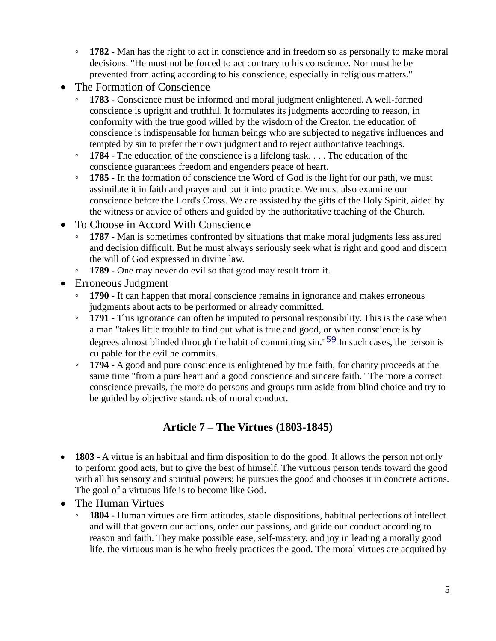- **1782** Man has the right to act in conscience and in freedom so as personally to make moral decisions. "He must not be forced to act contrary to his conscience. Nor must he be prevented from acting according to his conscience, especially in religious matters."
- The Formation of Conscience
	- **1783** Conscience must be informed and moral judgment enlightened. A well-formed conscience is upright and truthful. It formulates its judgments according to reason, in conformity with the true good willed by the wisdom of the Creator. the education of conscience is indispensable for human beings who are subjected to negative influences and tempted by sin to prefer their own judgment and to reject authoritative teachings.
	- **1784** The education of the conscience is a lifelong task. . . . The education of the conscience guarantees freedom and engenders peace of heart.
	- **1785** In the formation of conscience the Word of God is the light for our path, we must assimilate it in faith and prayer and put it into practice. We must also examine our conscience before the Lord's Cross. We are assisted by the gifts of the Holy Spirit, aided by the witness or advice of others and guided by the authoritative teaching of the Church.
- To Choose in Accord With Conscience
	- **1787** Man is sometimes confronted by situations that make moral judgments less assured and decision difficult. But he must always seriously seek what is right and good and discern the will of God expressed in divine law.
	- **1789** One may never do evil so that good may result from it.
- Erroneous Judgment
	- **1790 -** It can happen that moral conscience remains in ignorance and makes erroneous judgments about acts to be performed or already committed.
	- **1791** This ignorance can often be imputed to personal responsibility. This is the case when a man "takes little trouble to find out what is true and good, or when conscience is by degrees almost blinded through the habit of committing  $sin$ ." $\frac{59}{2}$  $\frac{59}{2}$  $\frac{59}{2}$  In such cases, the person is culpable for the evil he commits.
	- **1794** A good and pure conscience is enlightened by true faith, for charity proceeds at the same time "from a pure heart and a good conscience and sincere faith." The more a correct conscience prevails, the more do persons and groups turn aside from blind choice and try to be guided by objective standards of moral conduct.

## **Article 7 – The Virtues (1803-1845)**

- **1803** A virtue is an habitual and firm disposition to do the good. It allows the person not only to perform good acts, but to give the best of himself. The virtuous person tends toward the good with all his sensory and spiritual powers; he pursues the good and chooses it in concrete actions. The goal of a virtuous life is to become like God.
- The Human Virtues
	- **1804** Human virtues are firm attitudes, stable dispositions, habitual perfections of intellect and will that govern our actions, order our passions, and guide our conduct according to reason and faith. They make possible ease, self-mastery, and joy in leading a morally good life. the virtuous man is he who freely practices the good. The moral virtues are acquired by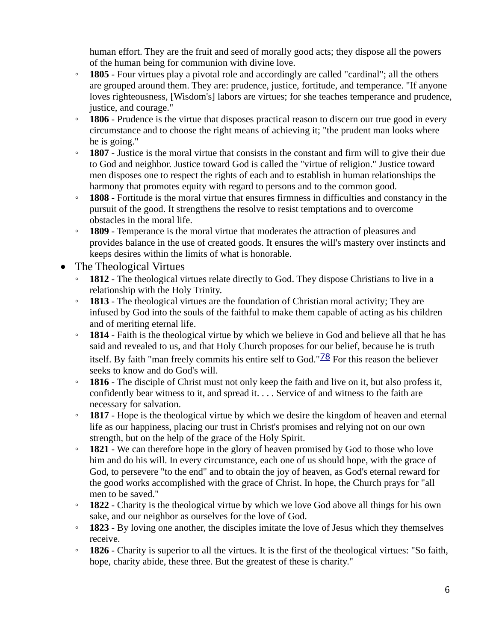human effort. They are the fruit and seed of morally good acts; they dispose all the powers of the human being for communion with divine love.

- **1805** Four virtues play a pivotal role and accordingly are called "cardinal"; all the others are grouped around them. They are: prudence, justice, fortitude, and temperance. "If anyone loves righteousness, [Wisdom's] labors are virtues; for she teaches temperance and prudence, justice, and courage."
- **1806** Prudence is the virtue that disposes practical reason to discern our true good in every circumstance and to choose the right means of achieving it; "the prudent man looks where he is going."
- **1807** Justice is the moral virtue that consists in the constant and firm will to give their due to God and neighbor. Justice toward God is called the "virtue of religion." Justice toward men disposes one to respect the rights of each and to establish in human relationships the harmony that promotes equity with regard to persons and to the common good.
- **1808** Fortitude is the moral virtue that ensures firmness in difficulties and constancy in the pursuit of the good. It strengthens the resolve to resist temptations and to overcome obstacles in the moral life.
- **1809** Temperance is the moral virtue that moderates the attraction of pleasures and provides balance in the use of created goods. It ensures the will's mastery over instincts and keeps desires within the limits of what is honorable.
- The Theological Virtues
	- **1812** The theological virtues relate directly to God. They dispose Christians to live in a relationship with the Holy Trinity.
	- **1813** The theological virtues are the foundation of Christian moral activity; They are infused by God into the souls of the faithful to make them capable of acting as his children and of meriting eternal life.
	- **1814** Faith is the theological virtue by which we believe in God and believe all that he has said and revealed to us, and that Holy Church proposes for our belief, because he is truth itself. By faith "man freely commits his entire self to God." $\frac{78}{2}$  $\frac{78}{2}$  $\frac{78}{2}$  For this reason the believer seeks to know and do God's will.
	- **1816** The disciple of Christ must not only keep the faith and live on it, but also profess it, confidently bear witness to it, and spread it. . . . Service of and witness to the faith are necessary for salvation.
	- **1817** Hope is the theological virtue by which we desire the kingdom of heaven and eternal life as our happiness, placing our trust in Christ's promises and relying not on our own strength, but on the help of the grace of the Holy Spirit.
	- **1821** We can therefore hope in the glory of heaven promised by God to those who love him and do his will. In every circumstance, each one of us should hope, with the grace of God, to persevere "to the end" and to obtain the joy of heaven, as God's eternal reward for the good works accomplished with the grace of Christ. In hope, the Church prays for "all men to be saved."
	- **1822** Charity is the theological virtue by which we love God above all things for his own sake, and our neighbor as ourselves for the love of God.
	- **1823** By loving one another, the disciples imitate the love of Jesus which they themselves receive.
	- **1826** Charity is superior to all the virtues. It is the first of the theological virtues: "So faith, hope, charity abide, these three. But the greatest of these is charity."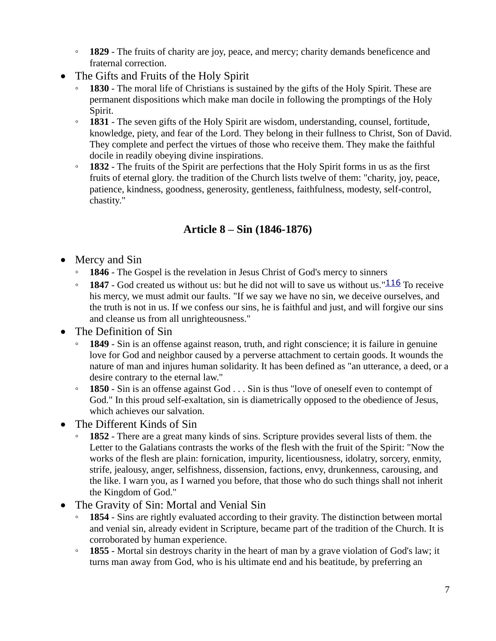- **1829** The fruits of charity are joy, peace, and mercy; charity demands beneficence and fraternal correction.
- The Gifts and Fruits of the Holy Spirit
	- **1830** The moral life of Christians is sustained by the gifts of the Holy Spirit. These are permanent dispositions which make man docile in following the promptings of the Holy Spirit.
	- **1831** The seven gifts of the Holy Spirit are wisdom, understanding, counsel, fortitude, knowledge, piety, and fear of the Lord. They belong in their fullness to Christ, Son of David. They complete and perfect the virtues of those who receive them. They make the faithful docile in readily obeying divine inspirations.
	- **1832** The fruits of the Spirit are perfections that the Holy Spirit forms in us as the first fruits of eternal glory. the tradition of the Church lists twelve of them: "charity, joy, peace, patience, kindness, goodness, generosity, gentleness, faithfulness, modesty, self-control, chastity."

### **Article 8 – Sin (1846-1876)**

- Mercy and Sin
	- **1846** The Gospel is the revelation in Jesus Christ of God's mercy to sinners
	- **1847** God created us without us: but he did not will to save us without us."[116](https://www.vatican.va/archive/ENG0015/__P69.HTM#$217) To receive his mercy, we must admit our faults. "If we say we have no sin, we deceive ourselves, and the truth is not in us. If we confess our sins, he is faithful and just, and will forgive our sins and cleanse us from all unrighteousness."
- The Definition of Sin
	- **1849** Sin is an offense against reason, truth, and right conscience; it is failure in genuine love for God and neighbor caused by a perverse attachment to certain goods. It wounds the nature of man and injures human solidarity. It has been defined as "an utterance, a deed, or a desire contrary to the eternal law."
	- **1850** Sin is an offense against God . . . Sin is thus "love of oneself even to contempt of God." In this proud self-exaltation, sin is diametrically opposed to the obedience of Jesus, which achieves our salvation.
- The Different Kinds of Sin
	- **1852** There are a great many kinds of sins. Scripture provides several lists of them. the Letter to the Galatians contrasts the works of the flesh with the fruit of the Spirit: "Now the works of the flesh are plain: fornication, impurity, licentiousness, idolatry, sorcery, enmity, strife, jealousy, anger, selfishness, dissension, factions, envy, drunkenness, carousing, and the like. I warn you, as I warned you before, that those who do such things shall not inherit the Kingdom of God."
- The Gravity of Sin: Mortal and Venial Sin
	- **1854** Sins are rightly evaluated according to their gravity. The distinction between mortal and venial sin, already evident in Scripture, became part of the tradition of the Church. It is corroborated by human experience.
	- **1855** Mortal sin destroys charity in the heart of man by a grave violation of God's law; it turns man away from God, who is his ultimate end and his beatitude, by preferring an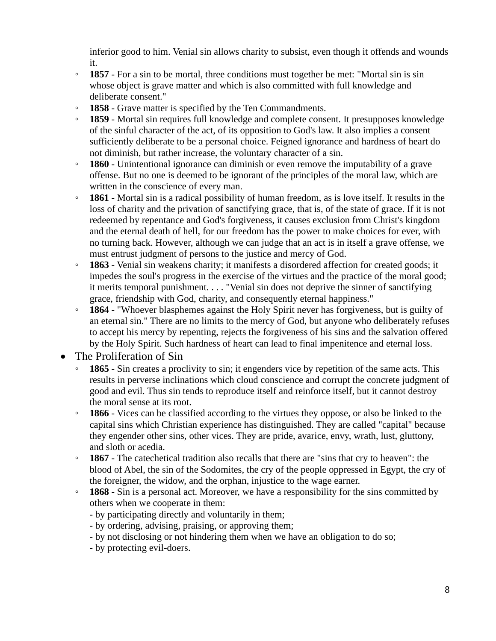inferior good to him. Venial sin allows charity to subsist, even though it offends and wounds it.

- **1857** For a sin to be mortal, three conditions must together be met: "Mortal sin is sin whose object is grave matter and which is also committed with full knowledge and deliberate consent."
- **1858** Grave matter is specified by the Ten Commandments.
- **1859** Mortal sin requires full knowledge and complete consent. It presupposes knowledge of the sinful character of the act, of its opposition to God's law. It also implies a consent sufficiently deliberate to be a personal choice. Feigned ignorance and hardness of heart do not diminish, but rather increase, the voluntary character of a sin.
- **1860** Unintentional ignorance can diminish or even remove the imputability of a grave offense. But no one is deemed to be ignorant of the principles of the moral law, which are written in the conscience of every man.
- **1861** Mortal sin is a radical possibility of human freedom, as is love itself. It results in the loss of charity and the privation of sanctifying grace, that is, of the state of grace. If it is not redeemed by repentance and God's forgiveness, it causes exclusion from Christ's kingdom and the eternal death of hell, for our freedom has the power to make choices for ever, with no turning back. However, although we can judge that an act is in itself a grave offense, we must entrust judgment of persons to the justice and mercy of God.
- **1863** Venial sin weakens charity; it manifests a disordered affection for created goods; it impedes the soul's progress in the exercise of the virtues and the practice of the moral good; it merits temporal punishment. . . . "Venial sin does not deprive the sinner of sanctifying grace, friendship with God, charity, and consequently eternal happiness."
- **1864** "Whoever blasphemes against the Holy Spirit never has forgiveness, but is guilty of an eternal sin." There are no limits to the mercy of God, but anyone who deliberately refuses to accept his mercy by repenting, rejects the forgiveness of his sins and the salvation offered by the Holy Spirit. Such hardness of heart can lead to final impenitence and eternal loss.
- The Proliferation of Sin
	- **1865** Sin creates a proclivity to sin; it engenders vice by repetition of the same acts. This results in perverse inclinations which cloud conscience and corrupt the concrete judgment of good and evil. Thus sin tends to reproduce itself and reinforce itself, but it cannot destroy the moral sense at its root.
	- **1866** Vices can be classified according to the virtues they oppose, or also be linked to the capital sins which Christian experience has distinguished. They are called "capital" because they engender other sins, other vices. They are pride, avarice, envy, wrath, lust, gluttony, and sloth or acedia.
	- **1867** The catechetical tradition also recalls that there are "sins that cry to heaven": the blood of Abel, the sin of the Sodomites, the cry of the people oppressed in Egypt, the cry of the foreigner, the widow, and the orphan, injustice to the wage earner.
	- **1868** Sin is a personal act. Moreover, we have a responsibility for the sins committed by others when we cooperate in them:
		- by participating directly and voluntarily in them;
		- by ordering, advising, praising, or approving them;
		- by not disclosing or not hindering them when we have an obligation to do so;
		- by protecting evil-doers.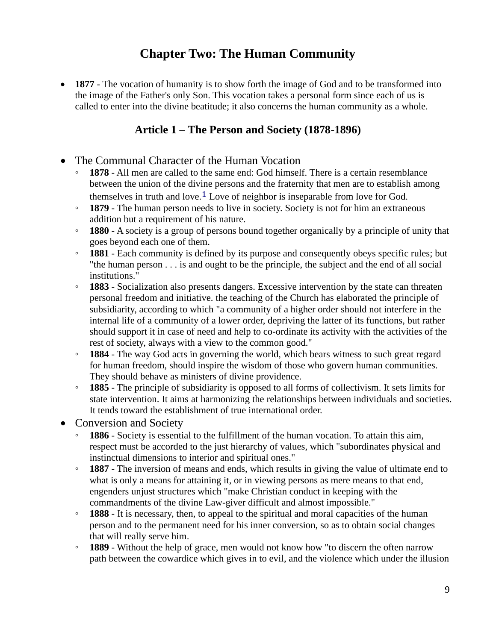## **Chapter Two: The Human Community**

• **1877** - The vocation of humanity is to show forth the image of God and to be transformed into the image of the Father's only Son. This vocation takes a personal form since each of us is called to enter into the divine beatitude; it also concerns the human community as a whole.

#### **Article 1 – The Person and Society (1878-1896)**

- The Communal Character of the Human Vocation
	- **1878** All men are called to the same end: God himself. There is a certain resemblance between the union of the divine persons and the fraternity that men are to establish among themselves in truth and love. $\frac{1}{2}$  $\frac{1}{2}$  $\frac{1}{2}$  Love of neighbor is inseparable from love for God.
	- **1879** The human person needs to live in society. Society is not for him an extraneous addition but a requirement of his nature.
	- **1880** A society is a group of persons bound together organically by a principle of unity that goes beyond each one of them.
	- **1881** Each community is defined by its purpose and consequently obeys specific rules; but "the human person . . . is and ought to be the principle, the subject and the end of all social institutions."
	- **1883** Socialization also presents dangers. Excessive intervention by the state can threaten personal freedom and initiative. the teaching of the Church has elaborated the principle of subsidiarity, according to which "a community of a higher order should not interfere in the internal life of a community of a lower order, depriving the latter of its functions, but rather should support it in case of need and help to co-ordinate its activity with the activities of the rest of society, always with a view to the common good."
	- **1884** The way God acts in governing the world, which bears witness to such great regard for human freedom, should inspire the wisdom of those who govern human communities. They should behave as ministers of divine providence.
	- **1885** The principle of subsidiarity is opposed to all forms of collectivism. It sets limits for state intervention. It aims at harmonizing the relationships between individuals and societies. It tends toward the establishment of true international order.
- Conversion and Society
	- **1886** Society is essential to the fulfillment of the human vocation. To attain this aim, respect must be accorded to the just hierarchy of values, which "subordinates physical and instinctual dimensions to interior and spiritual ones."
	- **1887** The inversion of means and ends, which results in giving the value of ultimate end to what is only a means for attaining it, or in viewing persons as mere means to that end, engenders unjust structures which "make Christian conduct in keeping with the commandments of the divine Law-giver difficult and almost impossible."
	- **1888** It is necessary, then, to appeal to the spiritual and moral capacities of the human person and to the permanent need for his inner conversion, so as to obtain social changes that will really serve him.
	- **1889** Without the help of grace, men would not know how "to discern the often narrow path between the cowardice which gives in to evil, and the violence which under the illusion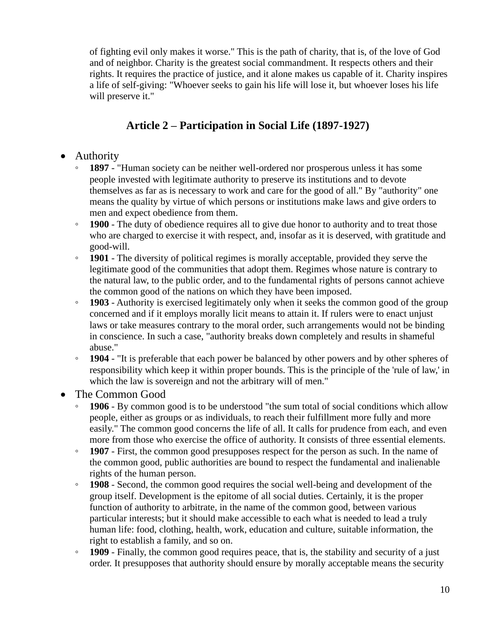of fighting evil only makes it worse." This is the path of charity, that is, of the love of God and of neighbor. Charity is the greatest social commandment. It respects others and their rights. It requires the practice of justice, and it alone makes us capable of it. Charity inspires a life of self-giving: "Whoever seeks to gain his life will lose it, but whoever loses his life will preserve it."

## **Article 2 – Participation in Social Life (1897-1927)**

- Authority
	- **1897** "Human society can be neither well-ordered nor prosperous unless it has some people invested with legitimate authority to preserve its institutions and to devote themselves as far as is necessary to work and care for the good of all." By "authority" one means the quality by virtue of which persons or institutions make laws and give orders to men and expect obedience from them.
	- **1900** The duty of obedience requires all to give due honor to authority and to treat those who are charged to exercise it with respect, and, insofar as it is deserved, with gratitude and good-will.
	- **1901** The diversity of political regimes is morally acceptable, provided they serve the legitimate good of the communities that adopt them. Regimes whose nature is contrary to the natural law, to the public order, and to the fundamental rights of persons cannot achieve the common good of the nations on which they have been imposed.
	- **1903** Authority is exercised legitimately only when it seeks the common good of the group concerned and if it employs morally licit means to attain it. If rulers were to enact unjust laws or take measures contrary to the moral order, such arrangements would not be binding in conscience. In such a case, "authority breaks down completely and results in shameful abuse."
	- **1904** "It is preferable that each power be balanced by other powers and by other spheres of responsibility which keep it within proper bounds. This is the principle of the 'rule of law,' in which the law is sovereign and not the arbitrary will of men."
- The Common Good
	- **1906** By common good is to be understood "the sum total of social conditions which allow people, either as groups or as individuals, to reach their fulfillment more fully and more easily." The common good concerns the life of all. It calls for prudence from each, and even more from those who exercise the office of authority. It consists of three essential elements.
	- **1907** First, the common good presupposes respect for the person as such. In the name of the common good, public authorities are bound to respect the fundamental and inalienable rights of the human person.
	- **1908** Second, the common good requires the social well-being and development of the group itself. Development is the epitome of all social duties. Certainly, it is the proper function of authority to arbitrate, in the name of the common good, between various particular interests; but it should make accessible to each what is needed to lead a truly human life: food, clothing, health, work, education and culture, suitable information, the right to establish a family, and so on.
	- **1909** Finally, the common good requires peace, that is, the stability and security of a just order. It presupposes that authority should ensure by morally acceptable means the security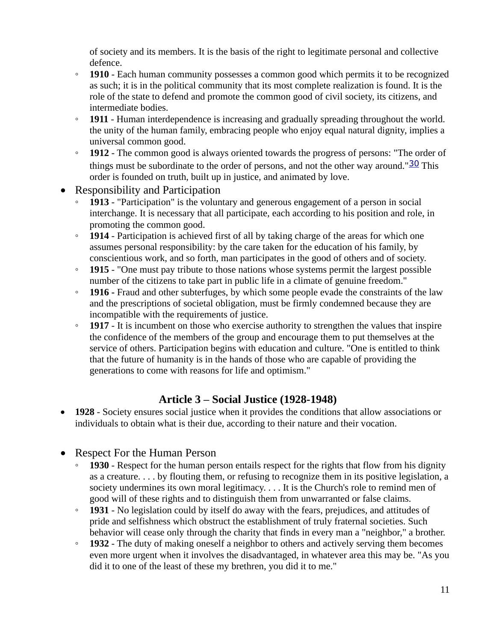of society and its members. It is the basis of the right to legitimate personal and collective defence.

- **1910** Each human community possesses a common good which permits it to be recognized as such; it is in the political community that its most complete realization is found. It is the role of the state to defend and promote the common good of civil society, its citizens, and intermediate bodies.
- **1911** Human interdependence is increasing and gradually spreading throughout the world. the unity of the human family, embracing people who enjoy equal natural dignity, implies a universal common good.
- **1912** The common good is always oriented towards the progress of persons: "The order of things must be subordinate to the order of persons, and not the other way around." $\frac{30}{2}$  $\frac{30}{2}$  $\frac{30}{2}$  This order is founded on truth, built up in justice, and animated by love.
- Responsibility and Participation
	- **1913** "Participation" is the voluntary and generous engagement of a person in social interchange. It is necessary that all participate, each according to his position and role, in promoting the common good.
	- **1914** Participation is achieved first of all by taking charge of the areas for which one assumes personal responsibility: by the care taken for the education of his family, by conscientious work, and so forth, man participates in the good of others and of society.
	- **1915** "One must pay tribute to those nations whose systems permit the largest possible number of the citizens to take part in public life in a climate of genuine freedom."
	- **1916 -** Fraud and other subterfuges, by which some people evade the constraints of the law and the prescriptions of societal obligation, must be firmly condemned because they are incompatible with the requirements of justice.
	- **1917** It is incumbent on those who exercise authority to strengthen the values that inspire the confidence of the members of the group and encourage them to put themselves at the service of others. Participation begins with education and culture. "One is entitled to think that the future of humanity is in the hands of those who are capable of providing the generations to come with reasons for life and optimism."

#### **Article 3 – Social Justice (1928-1948)**

- **1928** Society ensures social justice when it provides the conditions that allow associations or individuals to obtain what is their due, according to their nature and their vocation.
- Respect For the Human Person
	- **1930** Respect for the human person entails respect for the rights that flow from his dignity as a creature. . . . by flouting them, or refusing to recognize them in its positive legislation, a society undermines its own moral legitimacy. . . . It is the Church's role to remind men of good will of these rights and to distinguish them from unwarranted or false claims.
	- **1931** No legislation could by itself do away with the fears, prejudices, and attitudes of pride and selfishness which obstruct the establishment of truly fraternal societies. Such behavior will cease only through the charity that finds in every man a "neighbor," a brother.
	- **1932** The duty of making oneself a neighbor to others and actively serving them becomes even more urgent when it involves the disadvantaged, in whatever area this may be. "As you did it to one of the least of these my brethren, you did it to me."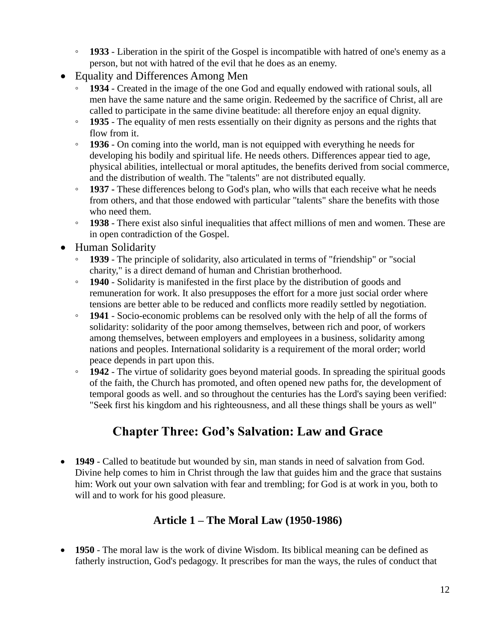- **1933** Liberation in the spirit of the Gospel is incompatible with hatred of one's enemy as a person, but not with hatred of the evil that he does as an enemy.
- Equality and Differences Among Men
	- **1934** Created in the image of the one God and equally endowed with rational souls, all men have the same nature and the same origin. Redeemed by the sacrifice of Christ, all are called to participate in the same divine beatitude: all therefore enjoy an equal dignity.
	- **1935** The equality of men rests essentially on their dignity as persons and the rights that flow from it.
	- **1936** On coming into the world, man is not equipped with everything he needs for developing his bodily and spiritual life. He needs others. Differences appear tied to age, physical abilities, intellectual or moral aptitudes, the benefits derived from social commerce, and the distribution of wealth. The "talents" are not distributed equally.
	- **1937 -** These differences belong to God's plan, who wills that each receive what he needs from others, and that those endowed with particular "talents" share the benefits with those who need them.
	- **1938** There exist also sinful inequalities that affect millions of men and women. These are in open contradiction of the Gospel.
- Human Solidarity
	- **1939** The principle of solidarity, also articulated in terms of "friendship" or "social charity," is a direct demand of human and Christian brotherhood.
	- **1940** Solidarity is manifested in the first place by the distribution of goods and remuneration for work. It also presupposes the effort for a more just social order where tensions are better able to be reduced and conflicts more readily settled by negotiation.
	- **1941** Socio-economic problems can be resolved only with the help of all the forms of solidarity: solidarity of the poor among themselves, between rich and poor, of workers among themselves, between employers and employees in a business, solidarity among nations and peoples. International solidarity is a requirement of the moral order; world peace depends in part upon this.
	- **1942** The virtue of solidarity goes beyond material goods. In spreading the spiritual goods of the faith, the Church has promoted, and often opened new paths for, the development of temporal goods as well. and so throughout the centuries has the Lord's saying been verified: "Seek first his kingdom and his righteousness, and all these things shall be yours as well"

# **Chapter Three: God's Salvation: Law and Grace**

• **1949** - Called to beatitude but wounded by sin, man stands in need of salvation from God. Divine help comes to him in Christ through the law that guides him and the grace that sustains him: Work out your own salvation with fear and trembling; for God is at work in you, both to will and to work for his good pleasure.

## **Article 1 – The Moral Law (1950-1986)**

• **1950** - The moral law is the work of divine Wisdom. Its biblical meaning can be defined as fatherly instruction, God's pedagogy. It prescribes for man the ways, the rules of conduct that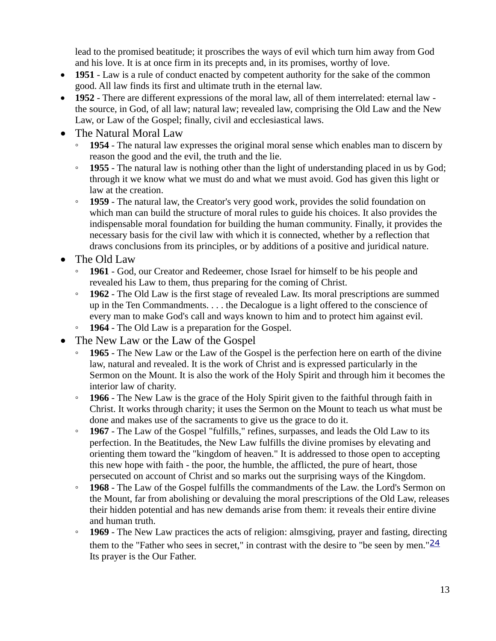lead to the promised beatitude; it proscribes the ways of evil which turn him away from God and his love. It is at once firm in its precepts and, in its promises, worthy of love.

- **1951** Law is a rule of conduct enacted by competent authority for the sake of the common good. All law finds its first and ultimate truth in the eternal law.
- **1952** There are different expressions of the moral law, all of them interrelated: eternal law the source, in God, of all law; natural law; revealed law, comprising the Old Law and the New Law, or Law of the Gospel; finally, civil and ecclesiastical laws.
- The Natural Moral Law
	- **1954** The natural law expresses the original moral sense which enables man to discern by reason the good and the evil, the truth and the lie.
	- **1955** The natural law is nothing other than the light of understanding placed in us by God; through it we know what we must do and what we must avoid. God has given this light or law at the creation.
	- **1959** The natural law, the Creator's very good work, provides the solid foundation on which man can build the structure of moral rules to guide his choices. It also provides the indispensable moral foundation for building the human community. Finally, it provides the necessary basis for the civil law with which it is connected, whether by a reflection that draws conclusions from its principles, or by additions of a positive and juridical nature.
- The Old Law
	- **1961** God, our Creator and Redeemer, chose Israel for himself to be his people and revealed his Law to them, thus preparing for the coming of Christ.
	- **1962** The Old Law is the first stage of revealed Law. Its moral prescriptions are summed up in the Ten Commandments. . . . the Decalogue is a light offered to the conscience of every man to make God's call and ways known to him and to protect him against evil.
	- **1964** The Old Law is a preparation for the Gospel.
- The New Law or the Law of the Gospel
	- **1965** The New Law or the Law of the Gospel is the perfection here on earth of the divine law, natural and revealed. It is the work of Christ and is expressed particularly in the Sermon on the Mount. It is also the work of the Holy Spirit and through him it becomes the interior law of charity.
	- **1966** The New Law is the grace of the Holy Spirit given to the faithful through faith in Christ. It works through charity; it uses the Sermon on the Mount to teach us what must be done and makes use of the sacraments to give us the grace to do it.
	- **1967** The Law of the Gospel "fulfills," refines, surpasses, and leads the Old Law to its perfection. In the Beatitudes, the New Law fulfills the divine promises by elevating and orienting them toward the "kingdom of heaven." It is addressed to those open to accepting this new hope with faith - the poor, the humble, the afflicted, the pure of heart, those persecuted on account of Christ and so marks out the surprising ways of the Kingdom.
	- **1968** The Law of the Gospel fulfills the commandments of the Law. the Lord's Sermon on the Mount, far from abolishing or devaluing the moral prescriptions of the Old Law, releases their hidden potential and has new demands arise from them: it reveals their entire divine and human truth.
	- **1969** The New Law practices the acts of religion: almsgiving, prayer and fasting, directing them to the "Father who sees in secret," in contrast with the desire to "be seen by men." $\frac{24}{3}$  $\frac{24}{3}$  $\frac{24}{3}$ Its prayer is the Our Father.